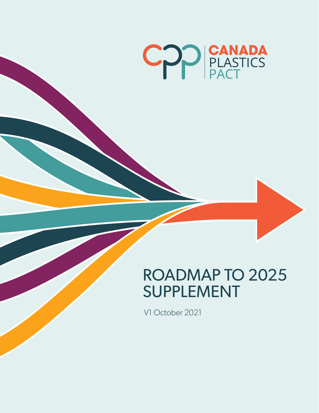

# ROADMAP TO 2025 SUPPLEMENT

V1 October 2021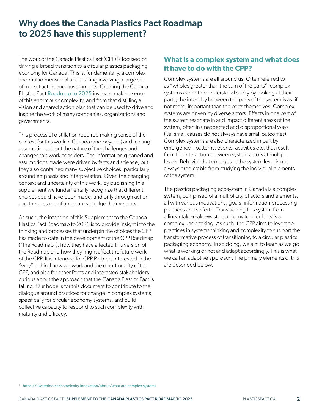## Why does the Canada Plastics Pact Roadmap to 2025 have this supplement?

The work of the Canada Plastics Pact (CPP) is focused on driving a broad transition to a circular plastics packaging economy for Canada. This is, fundamentally, a complex and multidimensional undertaking involving a large set of market actors and governments. Creating the Canada Plastics Pact [Roadmap to 2025](http://roadmap.plasticspact.ca/roadmapdocument/) involved making sense of this enormous complexity, and from that distilling a vision and shared action plan that can be used to drive and inspire the work of many companies, organizations and governments.

This process of distillation required making sense of the context for this work in Canada (and beyond) and making assumptions about the nature of the challenges and changes this work considers. The information gleaned and assumptions made were driven by facts and science, but they also contained many subjective choices, particularly around emphasis and interpretation. Given the changing context and uncertainty of this work, by publishing this supplement we fundamentally recognize that different choices could have been made, and only through action and the passage of time can we judge their veracity.

As such, the intention of this Supplement to the Canada Plastics Pact Roadmap to 2025 is to provide insight into the thinking and processes that underpin the choices the CPP has made to date in the development of the CPP Roadmap ("the Roadmap"), how they have affected this version of the Roadmap and how they might affect the future work of the CPP. It is intended for CPP Partners interested in the "why" behind how we work and the directionality of the CPP, and also for other Pacts and interested stakeholders curious about the approach that the Canada Plastics Pact is taking. Our hope is for this document to contribute to the dialogue around practices for change in complex systems, specifically for circular economy systems, and build collective capacity to respond to such complexity with maturity and efficacy.

#### **What is a complex system and what does it have to do with the CPP?**

Complex systems are all around us. Often referred to as "wholes greater than the sum of the parts"<sup>1</sup> complex systems cannot be understood solely by looking at their parts; the interplay between the parts of the system is as, if not more, important than the parts themselves. Complex systems are driven by diverse actors. Effects in one part of the system resonate in and impact different areas of the system, often in unexpected and disproportional ways (i.e. small causes do not always have small outcomes). Complex systems are also characterized in part by emergence – patterns, events, activities etc. that result from the interaction between system actors at multiple levels. Behavior that emerges at the system level is not always predictable from studying the individual elements of the system.

The plastics packaging ecosystem in Canada is a complex system, comprised of a multiplicity of actors and elements, all with various motivations, goals, information processing practices and so forth. Transitioning this system from a linear take-make-waste economy to circularity is a complex undertaking. As such, the CPP aims to leverage practices in systems thinking and complexity to support the transformative process of transitioning to a circular plastics packaging economy. In so doing, we aim to learn as we go what is working or not and adapt accordingly. This is what we call an adaptive approach. The primary elements of this are described below.

<sup>1</sup> <https://uwaterloo.ca/complexity-innovation/about/what-are-complex-systems>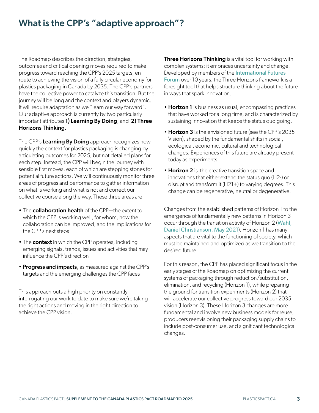## What is the CPP's "adaptive approach"?

The Roadmap describes the direction, strategies, outcomes and critical opening moves required to make progress toward reaching the CPP's 2025 targets, en route to achieving the vision of a fully circular economy for plastics packaging in Canada by 2035. The CPP's partners have the collective power to catalyze this transition. But the journey will be long and the context and players dynamic. It will require adaptation as we "learn our way forward". Our adaptive approach is currently by two particularly important attributes 1) Learning By Doing, and 2) Three Horizons Thinking.

The CPP's Learning By Doing approach recognizes how quickly the context for plastics packaging is changing by articulating outcomes for 2025, but not detailed plans for each step. Instead, the CPP will begin the journey with sensible first moves, each of which are stepping stones for potential future actions. We will continuously monitor three areas of progress and performance to gather information on what is working and what is not and correct our collective course along the way. These three areas are:

- The **collaboration health** of the CPP—the extent to which the CPP is working well, for whom, how the collaboration can be improved, and the implications for the CPP's next steps
- The **context** in which the CPP operates, including emerging signals, trends, issues and activities that may influence the CPP's direction
- Progress and impacts, as measured against the CPP's targets and the emerging challenges the CPP faces

This approach puts a high priority on constantly interrogating our work to date to make sure we're taking the right actions and moving in the right direction to achieve the CPP vision.

**Three Horizons Thinking** is a vital tool for working with complex systems; it embraces uncertainty and change. Developed by members of the [International Futures](https://www.internationalfuturesforum.com/three-horizons)  [Forum](https://www.internationalfuturesforum.com/three-horizons) over 10 years, the Three Horizons framework is a foresight tool that helps structure thinking about the future in ways that spark innovation.

- Horizon 1 is business as usual, encompassing practices that have worked for a long time, and is characterized by sustaining innovation that keeps the status quo going.
- Horizon 3 is the envisioned future (see the CPP's 2035 Vision), shaped by the fundamental shifts in social, ecological, economic, cultural and technological changes. Experiences of this future are already present today as experiments.
- Horizon 2 is the creative transition space and innovations that either extend the status quo (H2-) or disrupt and transform it (H21+) to varying degrees. This change can be regenerative, neutral or degenerative.

Changes from the established patterns of Horizon 1 to the emergence of fundamentally new patterns in Horizon 3 occur through the transition activity of Horizon 2 ([Wahl,](https://www.resilience.org/stories/2021-05-21/the-three-horizons-of-innovation-and-culture-change/)  [Daniel Christianson, May 2021](https://www.resilience.org/stories/2021-05-21/the-three-horizons-of-innovation-and-culture-change/)). Horizon 1 has many aspects that are vital to the functioning of society, which must be maintained and optimized as we transition to the desired future.

For this reason, the CPP has placed significant focus in the early stages of the Roadmap on optimizing the current systems of packaging through reduction/substitution, elimination, and recycling (Horizon 1), while preparing the ground for transition experiments (Horizon 2) that will accelerate our collective progress toward our 2035 vision (Horizon 3). These Horizon 3 changes are more fundamental and involve new business models for reuse, producers reenvisioning their packaging supply chains to include post-consumer use, and significant technological changes.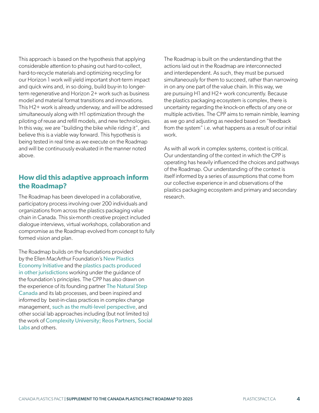This approach is based on the hypothesis that applying considerable attention to phasing out hard-to-collect, hard-to-recycle materials and optimizing recycling for our Horizon 1 work will yield important short-term impact and quick wins and, in so doing, build buy-in to longerterm regenerative and Horizon 2+ work such as business model and material format transitions and innovations. This H2+ work is already underway, and will be addressed simultaneously along with H1 optimization through the piloting of reuse and refill models, and new technologies. In this way, we are "building the bike while riding it", and believe this is a viable way forward. This hypothesis is being tested in real time as we execute on the Roadmap and will be continuously evaluated in the manner noted above.

#### **How did this adaptive approach inform the Roadmap?**

The Roadmap has been developed in a collaborative, participatory process involving over 200 individuals and organizations from across the plastics packaging value chain in Canada. This six-month creative project included dialogue interviews, virtual workshops, collaboration and compromise as the Roadmap evolved from concept to fully formed vision and plan.

The Roadmap builds on the foundations provided by the Ellen MacArthur Foundation's [New Plastics](https://www.newplasticseconomy.org/)  [Economy Initiative](https://www.newplasticseconomy.org/) and the [plastics pacts produced](https://www.newplasticseconomy.org/projects/plastics-pact)  [in other jurisdictions](https://www.newplasticseconomy.org/projects/plastics-pact) working under the guidance of the foundation's principles. The CPP has also drawn on the experience of its founding partner [The Natural Step](https://naturalstep.ca/)  [Canada](https://naturalstep.ca/) and its lab processes, and been inspired and informed by best-in-class practices in complex change management, [such as the multi-level perspective](http://projects.exeter.ac.uk/igov/wp-content/uploads/2012/12/DOWNLOAD-Multi-Level-Perspectives.pdf), and other social lab approaches including (but not limited to) the work of [Complexity University;](https://complexity.university/) [Reos Partners,](https://reospartners.com/) [Social](https://medium.com/social-labs)  [Labs](https://medium.com/social-labs) and others.

The Roadmap is built on the understanding that the actions laid out in the Roadmap are interconnected and interdependent. As such, they must be pursued simultaneously for them to succeed, rather than narrowing in on any one part of the value chain. In this way, we are pursuing H1 and H2+ work concurrently. Because the plastics packaging ecosystem is complex, there is uncertainty regarding the knock-on effects of any one or multiple activities. The CPP aims to remain nimble, learning as we go and adjusting as needed based on "feedback from the system" i.e. what happens as a result of our initial work.

As with all work in complex systems, context is critical. Our understanding of the context in which the CPP is operating has heavily influenced the choices and pathways of the Roadmap. Our understanding of the context is itself informed by a series of assumptions that come from our collective experience in and observations of the plastics packaging ecosystem and primary and secondary research.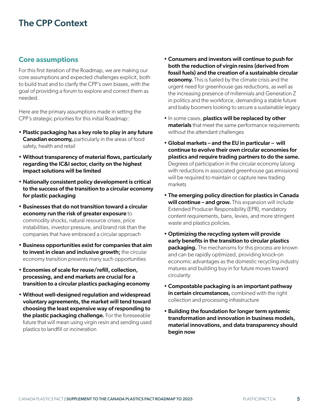## The CPP Context

#### **Core assumptions**

For this first iteration of the Roadmap, we are making our core assumptions and expected challenges explicit, both to build trust and to clarify the CPP's own biases, with the goal of providing a forum to explore and correct them as needed.

Here are the primary assumptions made in setting the CPP's strategic priorities for this initial Roadmap:

- Plastic packaging has a key role to play in any future Canadian economy, particularly in the areas of food safety, health and retail
- Without transparency of material flows, particularly regarding the IC&I sector, clarity on the highest impact solutions will be limited
- Nationally consistent policy development is critical to the success of the transition to a circular economy for plastic packaging
- Businesses that do not transition toward a circular economy run the risk of greater exposure to commodity shocks, natural resource crises, price instabilities, investor pressure, and brand risk than the companies that have embraced a circular approach
- Business opportunities exist for companies that aim to invest in clean and inclusive growth; the circular economy transition presents many such opportunities
- Economies of scale for reuse/refill, collection, processing, and end markets are crucial for a transition to a circular plastics packaging economy
- Without well-designed regulation and widespread voluntary agreements, the market will tend toward choosing the least expensive way of responding to the plastic packaging challenge. For the foreseeable future that will mean using virgin resin and sending used plastics to landfill or incineration
- Consumers and investors will continue to push for both the reduction of virgin resins (derived from fossil fuels) and the creation of a sustainable circular **economy.** This is fueled by the climate crisis and the urgent need for greenhouse gas reductions, as well as the increasing presence of millennials and Generation Z in politics and the workforce, demanding a stable future and baby boomers looking to secure a sustainable legacy
- In some cases, plastics will be replaced by other materials that meet the same performance requirements without the attendant challenges
- Global markets and the EU in particular will continue to evolve their own circular economies for plastics and require trading partners to do the same. Degrees of participation in the circular economy (along with reductions in associated greenhouse gas emissions) will be required to maintain or capture new trading markets
- The emerging policy direction for plastics in Canada will continue – and grow. This expansion will include Extended Producer Responsibility (EPR), mandatory content requirements, bans, levies, and more stringent waste and plastics policies.
- Optimizing the recycling system will provide early benefits in the transition to circular plastics **packaging.** The mechanisms for this process are known and can be rapidly optimized, providing knock-on economic advantages as the domestic recycling industry matures and building buy in for future moves toward circularity
- Compostable packaging is an important pathway in certain circumstances, combined with the right collection and processing infrastructure
- Building the foundation for longer term systemic transformation and innovation in business models, material innovations, and data transparency should begin now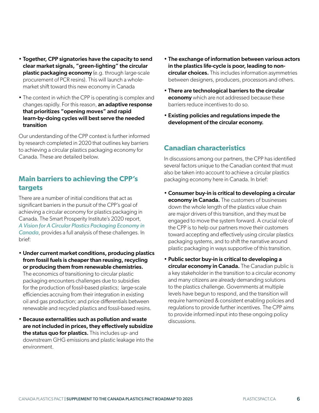- Together, CPP signatories have the capacity to send clear market signals, "green-lighting" the circular plastic packaging economy (e.g. through large-scale procurement of PCR resins). This will launch a wholemarket shift toward this new economy in Canada
- The context in which the CPP is operating is complex and changes rapidly. For this reason, an adaptive response that prioritizes "opening moves" and rapid learn-by-doing cycles will best serve the needed transition

Our understanding of the CPP context is further informed by research completed in 2020 that outlines key barriers to achieving a circular plastics packaging economy for Canada. These are detailed below.

#### **Main barriers to achieving the CPP's targets**

There are a number of initial conditions that act as significant barriers in the pursuit of the CPP's goal of achieving a circular economy for plastics packaging in Canada. The Smart Prosperity Institute's 2020 report, *[A Vision for A Circular Plastics Packaging Economy in](https://institute.smartprosperity.ca/sites/default/files/report-circulareconomy-february14-final.pdf)  [Canada](https://institute.smartprosperity.ca/sites/default/files/report-circulareconomy-february14-final.pdf)*, provides a full analysis of these challenges. In brief:

- Under current market conditions, producing plastics from fossil fuels is cheaper than reusing, recycling or producing them from renewable chemistries. The economics of transitioning to circular plastic packaging encounters challenges due to subsidies for the production of fossil-based plastics; large-scale efficiencies accruing from their integration in existing oil and gas production; and price differentials between
- Because externalities such as pollution and waste are not included in prices, they effectively subsidize the status quo for plastics. This includes up- and downstream GHG emissions and plastic leakage into the environment.

renewable and recycled plastics and fossil-based resins.

- The exchange of information between various actors in the plastics life-cycle is poor, leading to noncircular choices. This includes information asymmetries between designers, producers, processors and others.
- There are technological barriers to the circular **economy** which are not addressed because these barriers reduce incentives to do so.
- Existing policies and regulations impede the development of the circular economy.

### **Canadian characteristics**

In discussions among our partners, the CPP has identified several factors unique to the Canadian context that must also be taken into account to achieve a circular plastics packaging economy here in Canada. In brief:

- Consumer buy-in is critical to developing a circular **economy in Canada.** The customers of businesses down the whole length of the plastics value chain are major drivers of this transition, and they must be engaged to move the system forward. A crucial role of the CPP is to help our partners move their customers toward accepting and effectively using circular plastics packaging systems, and to shift the narrative around plastic packaging in ways supportive of this transition.
- Public sector buy-in is critical to developing a circular economy in Canada. The Canadian public is a key stakeholder in the transition to a circular economy and many citizens are already demanding solutions to the plastics challenge. Governments at multiple levels have begun to respond, and the transition will require harmonized & consistent enabling policies and regulations to provide further incentives. The CPP aims to provide informed input into these ongoing policy discussions.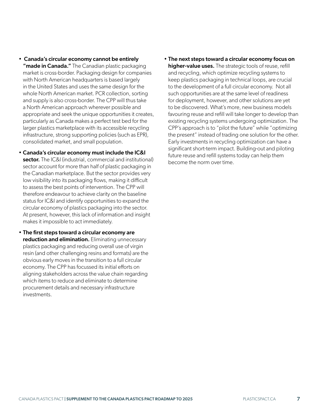- Canada's circular economy cannot be entirely "made in Canada." The Canadian plastic packaging market is cross-border. Packaging design for companies with North American headquarters is based largely in the United States and uses the same design for the whole North American market. PCR collection, sorting and supply is also cross-border. The CPP will thus take a North American approach wherever possible and appropriate and seek the unique opportunities it creates, particularly as Canada makes a perfect test bed for the larger plastics marketplace with its accessible recycling infrastructure, strong supporting policies (such as EPR), consolidated market, and small population.
- Canada's circular economy must include the IC&I sector. The IC&I (industrial, commercial and institutional) sector account for more than half of plastic packaging in the Canadian marketplace. But the sector provides very low visibility into its packaging flows, making it difficult to assess the best points of intervention. The CPP will therefore endeavour to achieve clarity on the baseline status for IC&I and identify opportunities to expand the circular economy of plastics packaging into the sector. At present, however, this lack of information and insight makes it impossible to act immediately.
- The first steps toward a circular economy are reduction and elimination. Eliminating unnecessary plastics packaging and reducing overall use of virgin resin (and other challenging resins and formats) are the obvious early moves in the transition to a full circular economy. The CPP has focussed its initial efforts on aligning stakeholders across the value chain regarding which items to reduce and eliminate to determine procurement details and necessary infrastructure investments.

• The next steps toward a circular economy focus on higher-value uses. The strategic tools of reuse, refill and recycling, which optimize recycling systems to keep plastics packaging in technical loops, are crucial to the development of a full circular economy. Not all such opportunities are at the same level of readiness for deployment, however, and other solutions are yet to be discovered. What's more, new business models favouring reuse and refill will take longer to develop than existing recycling systems undergoing optimization. The CPP's approach is to "pilot the future" while "optimizing the present" instead of trading one solution for the other. Early investments in recycling optimization can have a significant short-term impact. Building-out and piloting future reuse and refill systems today can help them become the norm over time.